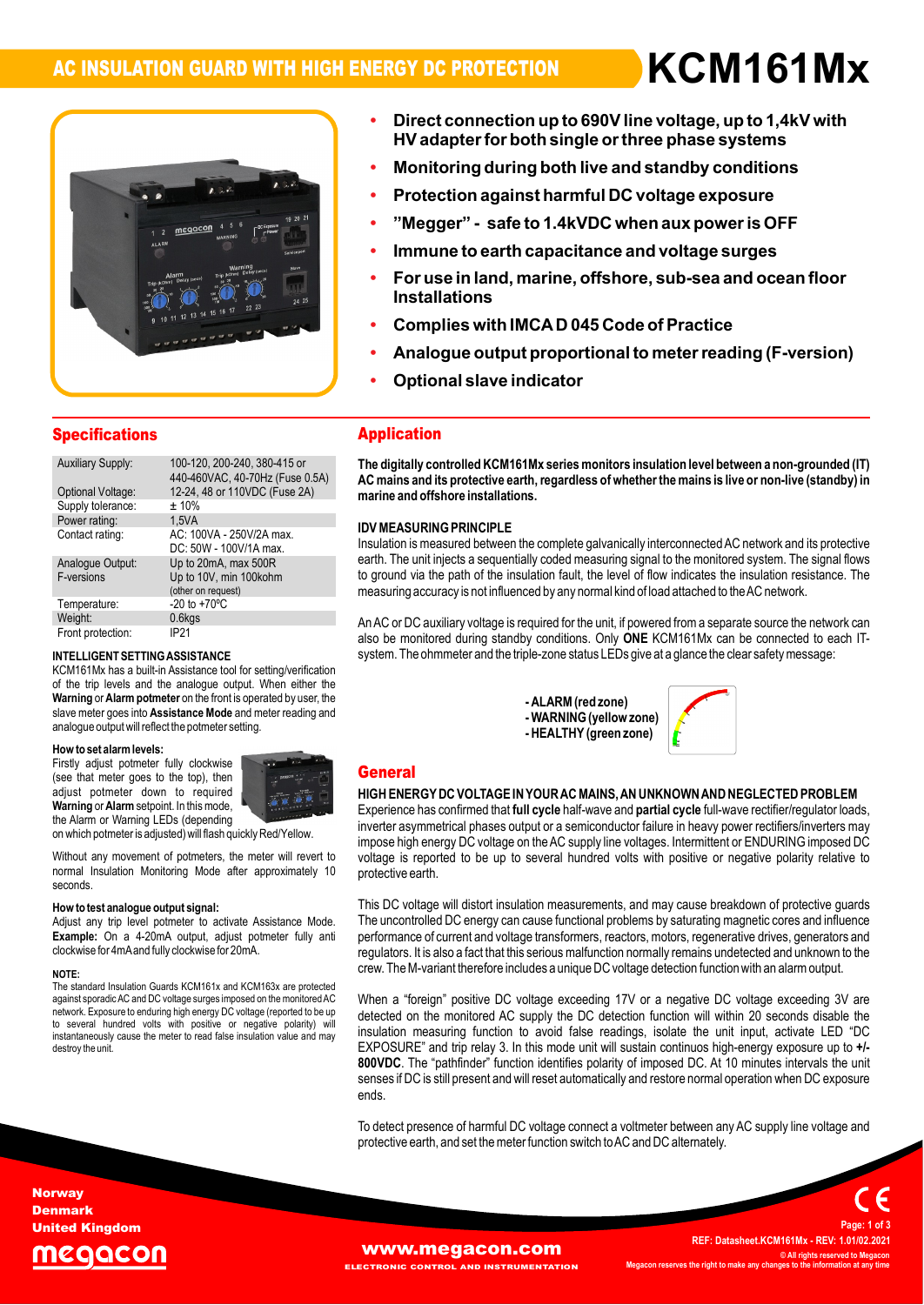# **AC INSULATION GUARD WITH HIGH ENERGY DC PROTECTION ïDirect**



# **connection up to 690Vline voltage, up to 1,4kV with ïProtection**<br>Protection **both single orthree phase systems** Direct connection up to 690V line voltage, up to 1,4kV with<br>HV adapter for both single or three phase systems<br>Monitoring during both live and standby conditions

- **against harmful DC voltage exposure îMeggerî**
- rivi<del>c</del>ui **- safe to 1.4kVDC when aux poweris OFF**
- **ï**on against harmful DO voltage exposure<br>" - safe to 1.4kVDC when aux power is OFF<br>to earth capacitance and voltage surges **Force** Parts - Integrate - Said to
- **Immune to e**a
- Immune to earth capacitance and voltage surges<br>
For use in land, marine, offshore, sub-sea and ocean<br>
Installations<br>
Complies with IMCAD 045 Code of Practice **ïo** both when adx power is Or I<br>tance and voltage surges<br>offshore, sub-sea and ocean floor **Installations**
- **Optionalï**
- **s** with imoa b 045 000<br>**e** output proportional<br>slave indicator ns<br>with IMCA D 045 Code of Practice<br>output proportional to meter reading (F-version)
- Optional slave indicator

**HVadapterf**

**or**

| <b>Specifications</b>                                              |                                                                                                           | <b>Application</b>                                                                                              |  |  |
|--------------------------------------------------------------------|-----------------------------------------------------------------------------------------------------------|-----------------------------------------------------------------------------------------------------------------|--|--|
| <b>Auxiliary Supply:</b><br>Optional Voltage:<br>Supply tolerance: | 100-120, 200-240, 380-415 or<br>440-460VAC, 40-70Hz (Fuse 0.5A)<br>12-24, 48 or 110VDC (Fuse 2A)<br>± 10% | The digitally controlled KCM161<br>AC mains and its protective eart<br>marine and offshore installation         |  |  |
| Power rating:<br>Contact rating:                                   | 1.5VA<br>AC: 100VA - 250V/2A max.<br>DC: 50W - 100V/1A max.                                               | <b>IDV MEASURING PRINCIPLE</b><br>Insulation is measured between th                                             |  |  |
| Analoque Output:<br>F-versions                                     | Up to 20mA, max 500R<br>Up to 10V, min 100kohm<br>(other on request)                                      | earth. The unit injects a sequentia<br>to ground via the path of the insu<br>measuring accuracy is not influend |  |  |
| Temperature:<br>Weight:                                            | $-20$ to $+70^{\circ}$ C<br>0.6kgs                                                                        | An AC or DC auxiliary voltage is re                                                                             |  |  |
| Front protection:                                                  | IP21                                                                                                      | also he monitored during standhi                                                                                |  |  |

## $k = 1.65$ of

**INTELLIGENT SETTING ASSISTANCE** systems that the system of the system of the system of the system of the system of the system of the system of the system of the system of the system of the system of the system of the syst A CIVITO HIVIX Has a bulli-in Assistance tool for setting/verification<br>of the trip levels and the analogue output. When either the<br>**Warning or Alarm potmeter** on the front is operated by user, the or the trip levels and the analogue output, whien either the<br>**Warning** or **Alarm potmeter** on the front is operated by user, the<br>slave meter goes into **Assistance Mode** and meter reading and **ELLIGENT SETTING ASSISTANCE**<br>M161Mx has a built-in Assistance tool for setting/verification<br>the trip levels and the analogue output. When either the slave meter goes into Assistance Mode and meter reading and **Howto set alarmlevels:**

## How to set alarm levels:

**EXECUTE AND MUSCLE CONSUMED STATES IN A POINT OF STATES (See that meter goes to the top), then**<br>adjust potmeter down to required (see that meter goes to the top), then<br>adjust potmeter down to required<br>Warning or Alarm setpoint. In this mode. How to set alarm levels:<br>Firstly adjust potmeter fully clockwise<br>(see that meter goes to the top), then adjust pourfield down to required<br>
Warning or Alarm setpoint. In this mode,<br>
the Alarm or Warning LEDs (depending



the Alarm or Warning LEDs (depending<br>on which potmeter is adjusted) will flash quickly Red/Yellow

on which potmeter is adjusted) will flash quickly Red/Yellow.<br>Mithout any movement of potmeters, the meter will revert to volt:<br>normal Insulation Monitoring Mode after approximately 10 prot seconds

## $\mathbf{A}$ **testanalogue output signal: Example:**

**test analogue output signal:**<br>any trip level potmeter to activate Assistance Mode. How to test analogue output signai:<br>Adjust any trip level potmeter to activate Assistance Mode.<br>Example: On a 4-20mA output, adiust potmeter fully anti y trip lever potmeter to activate Assist<br>On a 4-20mA output, adjust potmet<br>for 4mAand fully clockwise for 20mA. clockwise for 4mA and fully clockwise for 20mA.

## NOTE:

 standard Insulation Guards KCM161x and KCM163x are protected against sporadicAC and DC voltage surges imposed on themonitoredAC network.rie standard insulation Guards KOM to ix and KOM loox are protected<br>against sporadic AC and DC voltage surges imposed on the monitored AC WM<br>hetwork. Exposure to enduring high energy DC voltage (reported to be up agamst sporadic AC and DC voltage surges imposed on the monitored AC<br>network. Exposure to enduring high energy DC voltage (reported to be up<br>to several hundred volts with positive or negative polarity) wi network. Exposure to enduring night energy DC voltage (reported to be up<br>to several hundred volts with positive or negative polarity) will<br>instantaneously cause the meter to read false insulation value and may<br>destroy the

## **Application**

 **digitally controlled KCM161Mx seriesmonitors insulation levelbetween <sup>a</sup> non-grounded (IT) AC mains and its protective earth,regardless ofwhetherthe mains is live or non-live (standby) in marinehang** controlled KCM to thix set<br>ns and its protective earth, rega<br>and offshore installations. marine and offshore installations.

## $\sum_{i=1}^{n}$ ida M<br>.

**iURING PRINCIPLE**<br>is measured between the complete galvanically interconnected AC network and its protective יום איז באסטרגוועט אימונוריביב<br>Insulation is measured between the complete galvanically interconnected AC network and its protective<br>earth. The unit iniects a sequentially coded measuring signal to the monitored system. T msulation is measured between the complete galvanically interconnected AC hetwork and its protective<br>earth. The unit injects a sequentially coded measuring signal to the monitored system. The signal flows<br>to ground via the to ground via the path of the insulation fault, the level of flow indicates the insulation resistance. The measuring accuracy is not influenced by any normal kind of load attached to the AC network.

measuring accuracy is not imitienced by any normal kind or load attached to the AC hetwork.<br>An AC or DC auxiliary voltage is required for the unit, if powered from a separate source the network can<br>also be monitored during The auxiliary voltage is required for the trifle, if powered from a separate source the network care<br>monitored during standby conditions. Only **ONE** KCM161Mx can be connected to each I<br>The ohmmeter and the triple-zone stat

> **)**  $\mathbf{v}$ **-HEALTHY(green**



## **General General** Second Communication of the communication of the communication of the communication of the communication of the communication of the communication of the communication of the communication of the communication of

## ---------<br>HIGH ENERGY DC VOLTAGE IN YOUR AC MAINS, AN<br>Experience has confirmed that full cycle half-wave and r o coopers.<br>HIGH ENERGY DC VOLTAGE IN YOUR AC MAINS, AN UNKNOWN AND NEGLECTED PROBLEM<br>Experience has confirmed that full cycle half-wave and partial cycle full-wave rectifier/regulator loads. **fullace**<br>**full cycle half-wave and partial cycle**<br>full cycle half-wave and partial cycle

HIGH ENERGT DU VOLTAGE IN TOUR AU MAINS, AN UNNNOWN AND NEGLECTED PROBLEM<br>Experience has confirmed that **full cycle** half-wave and **partial cycle** full-wave rectifier/regulator loads,<br>inverter asymmetrical phases output or Experience has commmed that **run cycle** nail-wave and **partial cycle** full-wave rectifiers/inverters may<br>inverter asymmetrical phases output or a semiconductor failure in heavy power rectifiers/inverters may<br>impose high en inverier asymmetrical phases output or a semiconductor railure in neavy power rectiliers/inverters may<br>impose high energy DC voltage on the AC supply line voltages. Intermittent or ENDURING imposed DC<br>voltage is reported t voltage is reported to be up to several hundred volts with positive or negative polarity relative to protective earth.

protective earth.<br>This DC voltage will distort insulation measurements, and may cause breakdown of protective guards<br>The uncontrolled DC energy can cause functional problems by saturating magnetic cores and influence This DC voltage will distort insulation measurements, and may cause breakdown or protective guards<br>The uncontrolled DC energy can cause functional problems by saturating magnetic cores and influence<br>performance of current The uncontrolled DC energy can cause functional problems by saturating magnetic cores and imituence<br>performance of current and voltage transformers, reactors, motors, regenerative drives, generators and<br>requlators. It is a regulators. It is also a fact that this serious malfunction normally remains undetected and unknown to the crew.<br>Crew. The M-variant therefore includes a unique DC voltage detection function with an alarm output.

when a loreign positive DC voltage exceeding T/V or a negative DC voltage exceeding SV are<br>detected on the monitored AC supply the DC detection function will within 20 seconds disable the<br>insulation measuring function to a insulation measuring function to avoid faise readings, isolate the unit input, activate LED DC<br>EXPOSURE" and trip relay 3. In this mode unit will sustain continuos high-energy exposure up to +/-<br>800VDC. The "pathfinder" fu crew. The M-vahant therefore includes a dinque DC voltage detection function with an alarm output.<br>When a "foreign" positive DC voltage exceeding 17V or a negative DC voltage exceeding 3V are<br>detected on the monitored AC s on the monitored AC supply the DC detection function will within 20 seconds disable the<br>n measuring function to avoid false readings, isolate the unit input, activate LED "DC<br>JRE" and trip relay 3. In this mode unit will s EXPOSORE Tand the relay S. In this mode unit will sustain continuos high-energy exposure up to +1-<br>**800VDC**. The "pathfinder" function identifies polarity of imposed DC. At 10 minutes intervals the unit<br>senses if DC is sti ends.

enus.<br>To detect presence of harmful DC voltage connect a voltmeter between any AC supply line voltage and<br>protective earth, and set the meter function switch to AC and DC alternately.

**Norway** Denmark United Kingdom





**REF: Datasheet.KCM161Mx - REV: 1.01/02.2021 © All rights reserved to Megacon MegaconC** All rights reserved to Me<br>**right changes** to the **information** at an **<sup>1</sup> of <sup>3</sup>**

**Page:**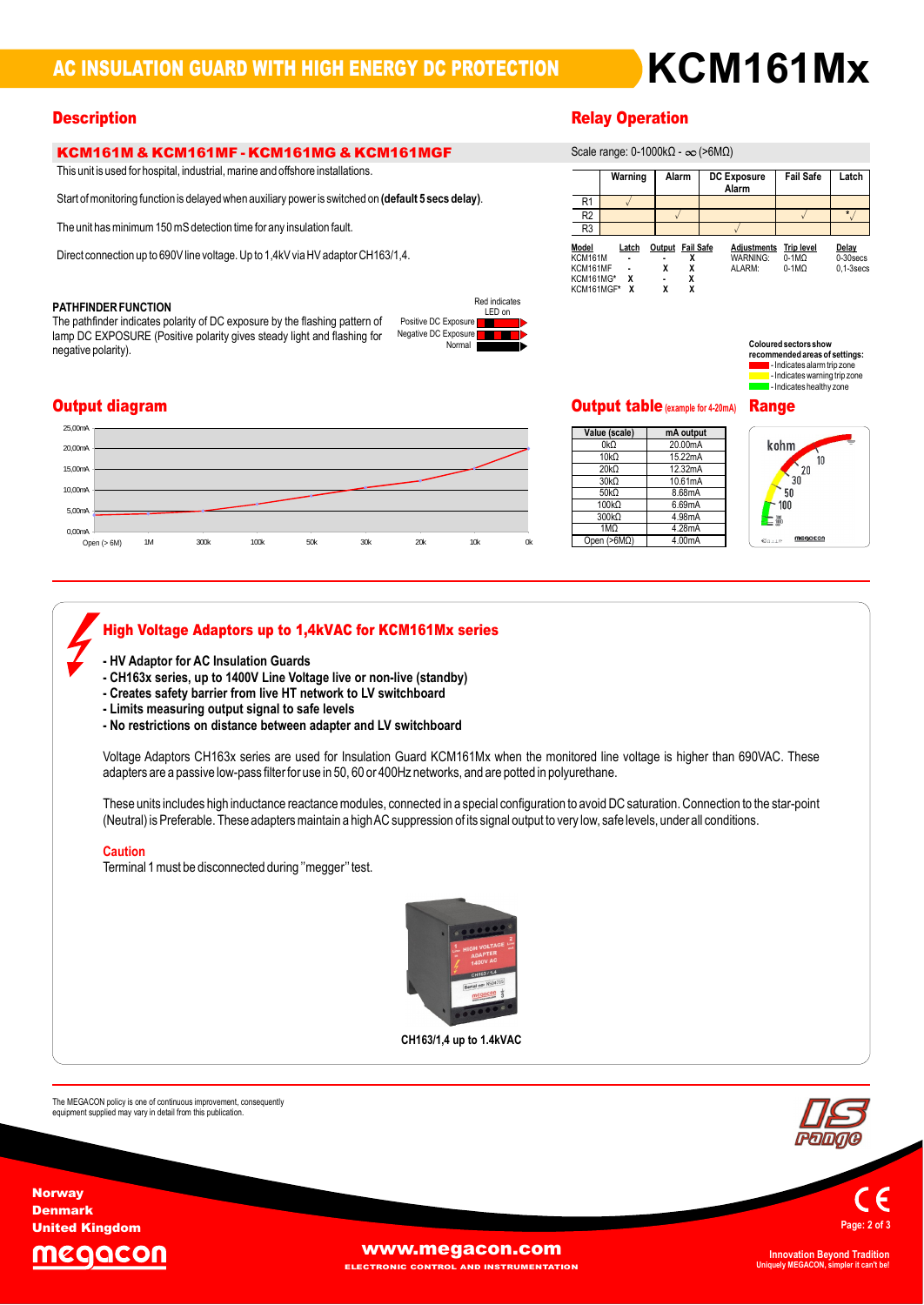# **AC INSULATION GUARD WITH HIGH ENERGY DC PROTECTION**

# **KCM161M & KCM161MF - KCM161MG & KCM161MGF**<br>This unit is used for hospital, industrial, marine and offshore installations.

rnis unit is used for hospital, industrial, manne and onshore instanations.<br>Start of monitoring function is delayed when auxiliary power is switched on **(default 5 secs delay)**.

The unit has minimum 150 mS detection time for any insulation fault.

Direct connection up to 690V line voltage. Up to 1,4kV via HV adaptor CH163/1,4.

## $\overline{ }$ ۲AII<br>۳

Output diagram

0,00mA<br>Open (> 6M)

5,00mA 10,00mA 15,00mA  $20.00<sub>n</sub>$ 25,00m

**HFINDER FUNCTION**<br>pathfinder indicates polarity of DC exposure by the flashing pattern of Pos PATHEINDER FUNCTION<br>The pathfinder indicates polarity of DC exposure by the flashing pattern of negation<br>lamp DC EXPOSURE (Positive polarity gives steady light and flashing for neg lamp DC EXPOSURE (Positive polarity gives steady light and flashing for negative polarity).





| . <i>.</i> .                                                          |                 |                                                |                                          |                                         |                                        |  |  |  |
|-----------------------------------------------------------------------|-----------------|------------------------------------------------|------------------------------------------|-----------------------------------------|----------------------------------------|--|--|--|
| Scale range: 0-1000kΩ - $\infty$ (>6MΩ)                               |                 |                                                |                                          |                                         |                                        |  |  |  |
|                                                                       | Warning         | Alarm                                          | DC Exposure<br>Alarm                     | <b>Fail Safe</b>                        | Latch                                  |  |  |  |
| R <sub>1</sub>                                                        |                 |                                                |                                          |                                         |                                        |  |  |  |
| R <sub>2</sub>                                                        |                 |                                                |                                          |                                         | $\star$                                |  |  |  |
| R <sub>3</sub>                                                        |                 |                                                |                                          |                                         |                                        |  |  |  |
| Model<br><b>KCM161M</b><br>KCM161MF<br><b>KCM161MG*</b><br>KCM161MGF* | Latch<br>χ<br>X | Output Fail Safe<br>χ<br>X<br>χ<br>χ<br>X<br>x | <b>Adjustments</b><br>WARNING:<br>ALARM: | <b>Trip level</b><br>$0-1MO$<br>$0-1MO$ | Delay<br>$0-30$ secs<br>$0.1 - 3$ secs |  |  |  |



Value (scale)

10kΩ

10kΩ

 $\frac{10k\Omega}{20k\Omega}$ 

30kΩ<br>50kΩ

100<sub>k</sub>

 $\frac{100k}{100}$ 

lectricates warning trip zone<br>lectricates healthy zone

# **Value** (scale) **manufacture manufacture value** (scale) Output table**(example for4-20mA)** Range

mA output

20.00mA

15.22mA<br>12.32mA

8.68mA<br>6.69mA

(>6MΩ) 4.00mA

12.32mA<br>10.61mA<br>8.68mA

4.98mA 4.28mA



Open (> 6M) 11M 300k 100k 50k 30k 20k 10k 0k

# **High Voltage Adaptors up to 1,4kVAC for KCM161Mx series -HV Adaptor for AC Insulation Guards -**

- 
- HV Adaptor for AC Insulation Guards<br>- CH163x series, up to 1400V Line Voltage live or non-live (standby)<br>- Creates safetv barrier from live HT network to LV switchboard
- CHTOSX Series, up to T400V Line voltage live of non-li<br>- Creates safety barrier from live HT network to LV swit<br>- Limits measuring output signal to safe levels
- 
- **-** Creates salety barrier from live HT hetwork to LV switchboard<br>- Limits measuring output signal to safe levels<br>- No restrictions on distance between adapter and LV switchboard

- No restrictions on distance between adapter and LV switchboard<br>Voltage Adaptors CH163x series are used for Insulation Guard KCM161Mx when the monitored line voltage is higher than 690VAC. These<br>adapters are a passive low

gh inductance reactance modules, connected in a special configuration to avoid DC saturation. Connection to the sta<br>These adapters maintain a high AC suppression of its signal output to very low, safe levels, under all con adapters are a passive low-pass liller for use in 50, 60 or 400Hz hetworks, and are potted in polyuremane.<br>These units includes high inductance reactance modules, connected in a special configuration to avoid DC saturation (Neutral) is Preferable. These adapters maintain a high AC suppression of its signal output to very low, safe levels, under all conditions.

## Caution

Terminal 1 must be disconnected during "megger" test.



**up to 1.4kVAC**

The MEGACON policy is one of continuous improvement, consequently<br>equipment supplied may vary in detail from this publication.



**Norway** Denmark United Kingdom

The



**[www.megacon.com](http://www.megacon.com)** 

**ECTRONIC CONTROL AND INSTRUMENTATION** 

**Uniquely MEGACON, simpler it can't be!**